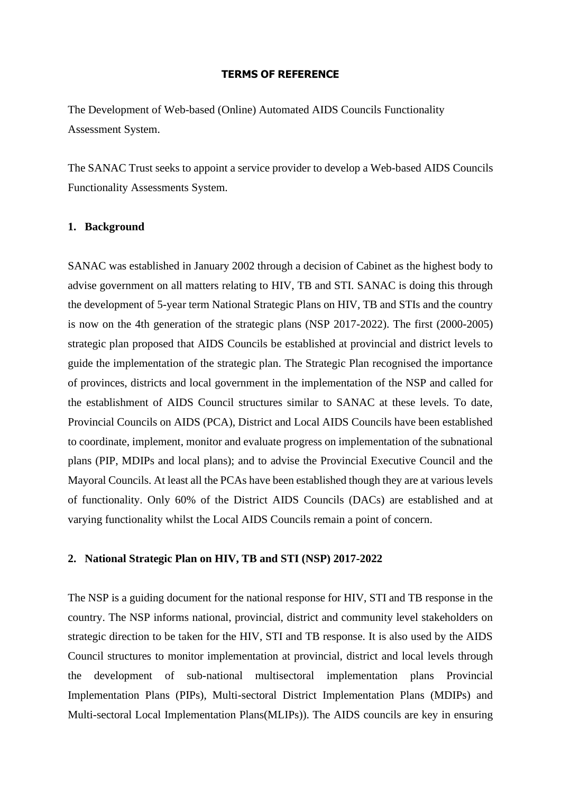#### **TERMS OF REFERENCE**

The Development of Web-based (Online) Automated AIDS Councils Functionality Assessment System.

The SANAC Trust seeks to appoint a service provider to develop a Web-based AIDS Councils Functionality Assessments System.

#### **1. Background**

SANAC was established in January 2002 through a decision of Cabinet as the highest body to advise government on all matters relating to HIV, TB and STI. SANAC is doing this through the development of 5-year term National Strategic Plans on HIV, TB and STIs and the country is now on the 4th generation of the strategic plans (NSP 2017-2022). The first (2000-2005) strategic plan proposed that AIDS Councils be established at provincial and district levels to guide the implementation of the strategic plan. The Strategic Plan recognised the importance of provinces, districts and local government in the implementation of the NSP and called for the establishment of AIDS Council structures similar to SANAC at these levels. To date, Provincial Councils on AIDS (PCA), District and Local AIDS Councils have been established to coordinate, implement, monitor and evaluate progress on implementation of the subnational plans (PIP, MDIPs and local plans); and to advise the Provincial Executive Council and the Mayoral Councils. At least all the PCAs have been established though they are at various levels of functionality. Only 60% of the District AIDS Councils (DACs) are established and at varying functionality whilst the Local AIDS Councils remain a point of concern.

#### **2. National Strategic Plan on HIV, TB and STI (NSP) 2017-2022**

The NSP is a guiding document for the national response for HIV, STI and TB response in the country. The NSP informs national, provincial, district and community level stakeholders on strategic direction to be taken for the HIV, STI and TB response. It is also used by the AIDS Council structures to monitor implementation at provincial, district and local levels through the development of sub-national multisectoral implementation plans Provincial Implementation Plans (PIPs), Multi-sectoral District Implementation Plans (MDIPs) and Multi-sectoral Local Implementation Plans(MLIPs)). The AIDS councils are key in ensuring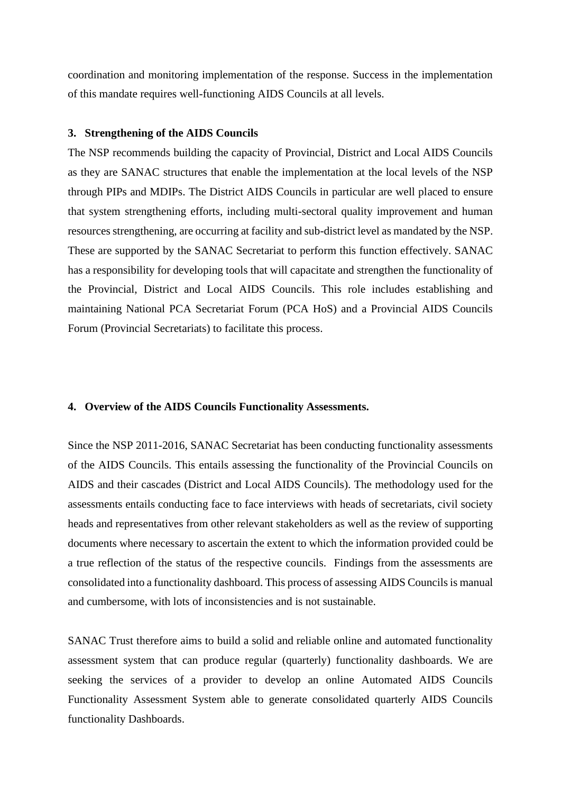coordination and monitoring implementation of the response. Success in the implementation of this mandate requires well-functioning AIDS Councils at all levels.

#### **3. Strengthening of the AIDS Councils**

The NSP recommends building the capacity of Provincial, District and Local AIDS Councils as they are SANAC structures that enable the implementation at the local levels of the NSP through PIPs and MDIPs. The District AIDS Councils in particular are well placed to ensure that system strengthening efforts, including multi-sectoral quality improvement and human resources strengthening, are occurring at facility and sub-district level as mandated by the NSP. These are supported by the SANAC Secretariat to perform this function effectively. SANAC has a responsibility for developing tools that will capacitate and strengthen the functionality of the Provincial, District and Local AIDS Councils. This role includes establishing and maintaining National PCA Secretariat Forum (PCA HoS) and a Provincial AIDS Councils Forum (Provincial Secretariats) to facilitate this process.

#### **4. Overview of the AIDS Councils Functionality Assessments.**

Since the NSP 2011-2016, SANAC Secretariat has been conducting functionality assessments of the AIDS Councils. This entails assessing the functionality of the Provincial Councils on AIDS and their cascades (District and Local AIDS Councils). The methodology used for the assessments entails conducting face to face interviews with heads of secretariats, civil society heads and representatives from other relevant stakeholders as well as the review of supporting documents where necessary to ascertain the extent to which the information provided could be a true reflection of the status of the respective councils. Findings from the assessments are consolidated into a functionality dashboard. This process of assessing AIDS Councils is manual and cumbersome, with lots of inconsistencies and is not sustainable.

SANAC Trust therefore aims to build a solid and reliable online and automated functionality assessment system that can produce regular (quarterly) functionality dashboards. We are seeking the services of a provider to develop an online Automated AIDS Councils Functionality Assessment System able to generate consolidated quarterly AIDS Councils functionality Dashboards.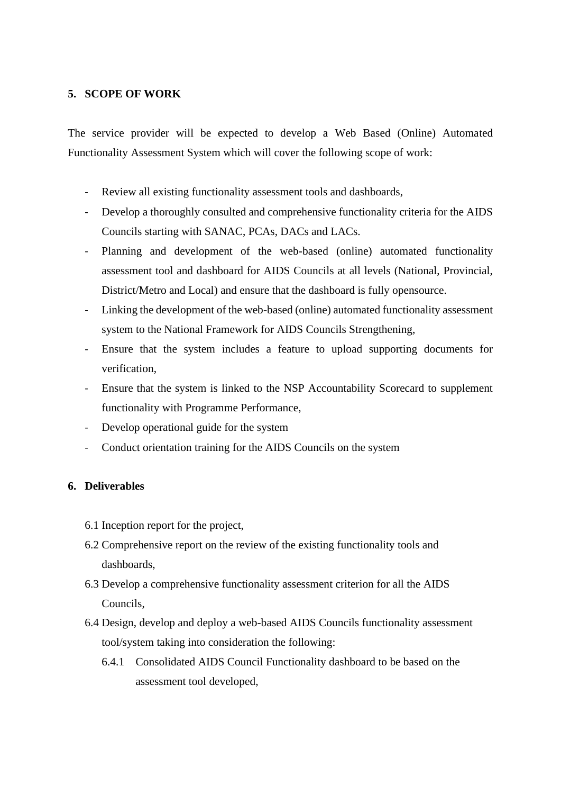#### **5. SCOPE OF WORK**

The service provider will be expected to develop a Web Based (Online) Automated Functionality Assessment System which will cover the following scope of work:

- Review all existing functionality assessment tools and dashboards,
- Develop a thoroughly consulted and comprehensive functionality criteria for the AIDS Councils starting with SANAC, PCAs, DACs and LACs.
- Planning and development of the web-based (online) automated functionality assessment tool and dashboard for AIDS Councils at all levels (National, Provincial, District/Metro and Local) and ensure that the dashboard is fully opensource.
- Linking the development of the web-based (online) automated functionality assessment system to the National Framework for AIDS Councils Strengthening,
- Ensure that the system includes a feature to upload supporting documents for verification,
- Ensure that the system is linked to the NSP Accountability Scorecard to supplement functionality with Programme Performance,
- Develop operational guide for the system
- Conduct orientation training for the AIDS Councils on the system

## **6. Deliverables**

- 6.1 Inception report for the project,
- 6.2 Comprehensive report on the review of the existing functionality tools and dashboards,
- 6.3 Develop a comprehensive functionality assessment criterion for all the AIDS Councils,
- 6.4 Design, develop and deploy a web-based AIDS Councils functionality assessment tool/system taking into consideration the following:
	- 6.4.1 Consolidated AIDS Council Functionality dashboard to be based on the assessment tool developed,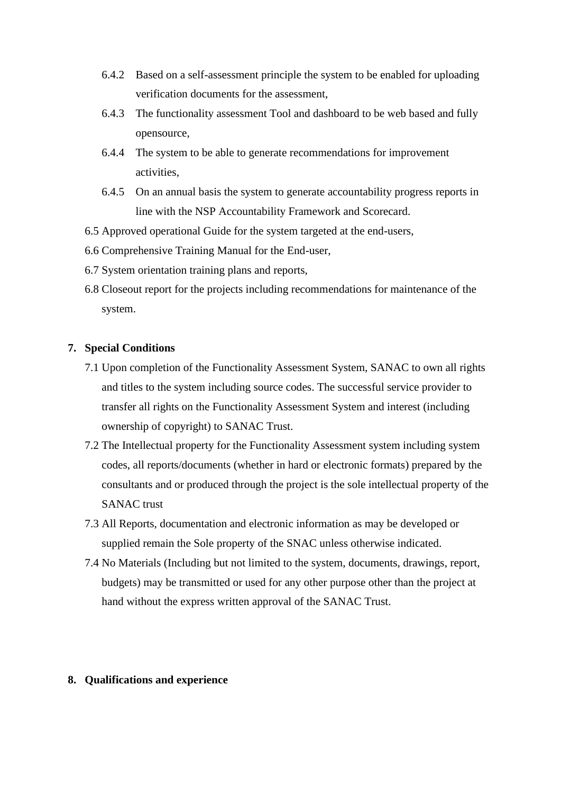- 6.4.2 Based on a self-assessment principle the system to be enabled for uploading verification documents for the assessment,
- 6.4.3 The functionality assessment Tool and dashboard to be web based and fully opensource,
- 6.4.4 The system to be able to generate recommendations for improvement activities,
- 6.4.5 On an annual basis the system to generate accountability progress reports in line with the NSP Accountability Framework and Scorecard.
- 6.5 Approved operational Guide for the system targeted at the end-users,
- 6.6 Comprehensive Training Manual for the End-user,
- 6.7 System orientation training plans and reports,
- 6.8 Closeout report for the projects including recommendations for maintenance of the system.

## **7. Special Conditions**

- 7.1 Upon completion of the Functionality Assessment System, SANAC to own all rights and titles to the system including source codes. The successful service provider to transfer all rights on the Functionality Assessment System and interest (including ownership of copyright) to SANAC Trust.
- 7.2 The Intellectual property for the Functionality Assessment system including system codes, all reports/documents (whether in hard or electronic formats) prepared by the consultants and or produced through the project is the sole intellectual property of the SANAC trust
- 7.3 All Reports, documentation and electronic information as may be developed or supplied remain the Sole property of the SNAC unless otherwise indicated.
- 7.4 No Materials (Including but not limited to the system, documents, drawings, report, budgets) may be transmitted or used for any other purpose other than the project at hand without the express written approval of the SANAC Trust.

#### **8. Qualifications and experience**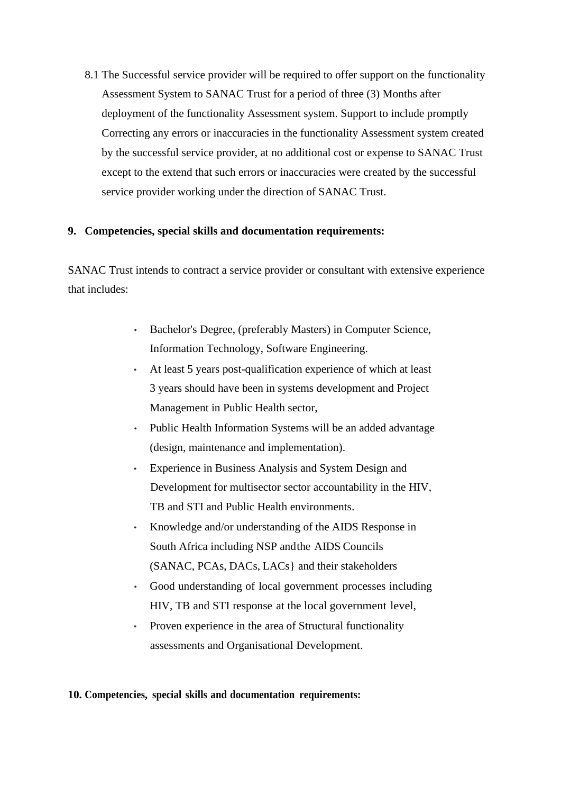8.1 The Successful service provider will be required to offer support on the functionality Assessment System to SANAC Trust for a period of three (3) Months after deployment of the functionality Assessment system. Support to include promptly Correcting any errors or inaccuracies in the functionality Assessment system created by the successful service provider, at no additional cost or expense to SANAC Trust except to the extend that such errors or inaccuracies were created by the successful service provider working under the direction of SANAC Trust.

## **9. Competencies, special skills and documentation requirements:**

SANAC Trust intends to contract a service provider or consultant with extensive experience that includes:

- Bachelor's Degree, (preferably Masters) in Computer Science, Information Technology, Software Engineering.
- At least 5 years post-qualification experience of which at least 3 years should have been in systems development and Project Management in Public Health sector,
- Public Health Information Systems will be an added advantage (design, maintenance and implementation).
- Experience in Business Analysis and System Design and Development for multisector sector accountability in the HIV, TB and STI and Public Health environments.
- Knowledge and/or understanding of the AIDS Response in South Africa including NSP andthe AIDS Councils (SANAC, PCAs, DACs, LACs} and their stakeholders
- Good understanding of local government processes including HIV, TB and STI response at the local government level,
- Proven experience in the area of Structural functionality assessments and Organisational Development.

**10. Competencies, special skills and documentation requirements:**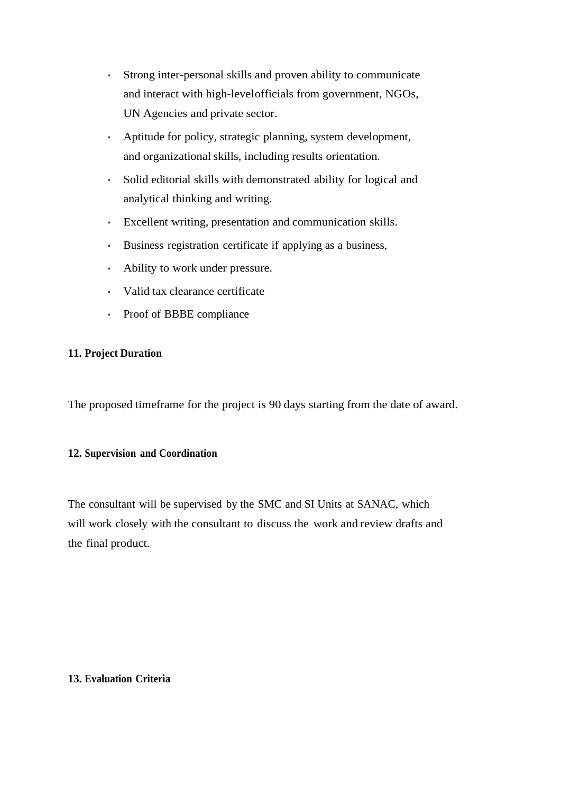- Strong inter-personal skills and proven ability to communicate and interact with high-levelofficials from government, NGOs, UN Agencies and private sector.
- Aptitude for policy, strategic planning, system development, and organizational skills, including results orientation.
- Solid editorial skills with demonstrated ability for logical and analytical thinking and writing.
- Excellent writing, presentation and communication skills.
- Business registration certificate if applying as a business,
- Ability to work under pressure.
- Valid tax clearance certificate
- Proof of BBBE compliance

## **11. Project Duration**

The proposed timeframe for the project is 90 days starting from the date of award.

## **12. Supervision and Coordination**

The consultant will be supervised by the SMC and SI Units at SANAC, which will work closely with the consultant to discuss the work and review drafts and the final product.

#### **13. Evaluation Criteria**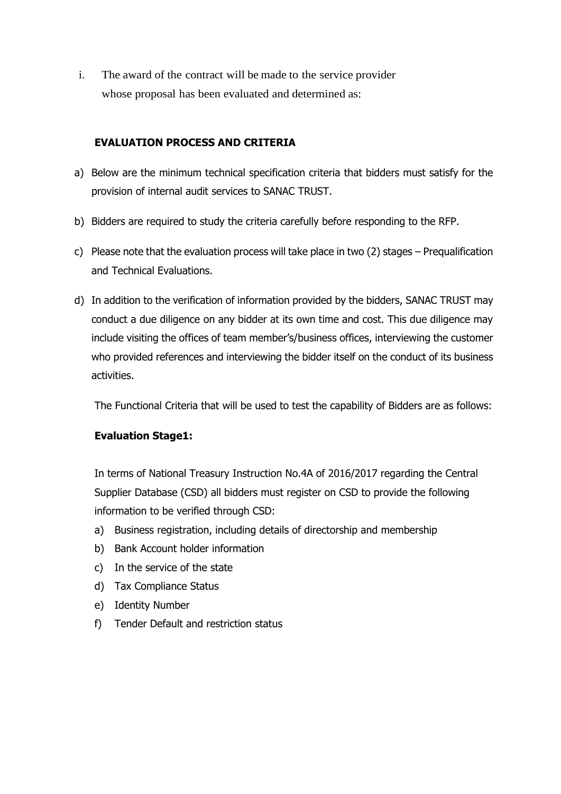i. The award of the contract will be made to the service provider whose proposal has been evaluated and determined as:

# **EVALUATION PROCESS AND CRITERIA**

- a) Below are the minimum technical specification criteria that bidders must satisfy for the provision of internal audit services to SANAC TRUST.
- b) Bidders are required to study the criteria carefully before responding to the RFP.
- c) Please note that the evaluation process will take place in two (2) stages Prequalification and Technical Evaluations.
- d) In addition to the verification of information provided by the bidders, SANAC TRUST may conduct a due diligence on any bidder at its own time and cost. This due diligence may include visiting the offices of team member's/business offices, interviewing the customer who provided references and interviewing the bidder itself on the conduct of its business activities.

The Functional Criteria that will be used to test the capability of Bidders are as follows:

# **Evaluation Stage1:**

In terms of National Treasury Instruction No.4A of 2016/2017 regarding the Central Supplier Database (CSD) all bidders must register on CSD to provide the following information to be verified through CSD:

- a) Business registration, including details of directorship and membership
- b) Bank Account holder information
- c) In the service of the state
- d) Tax Compliance Status
- e) Identity Number
- f) Tender Default and restriction status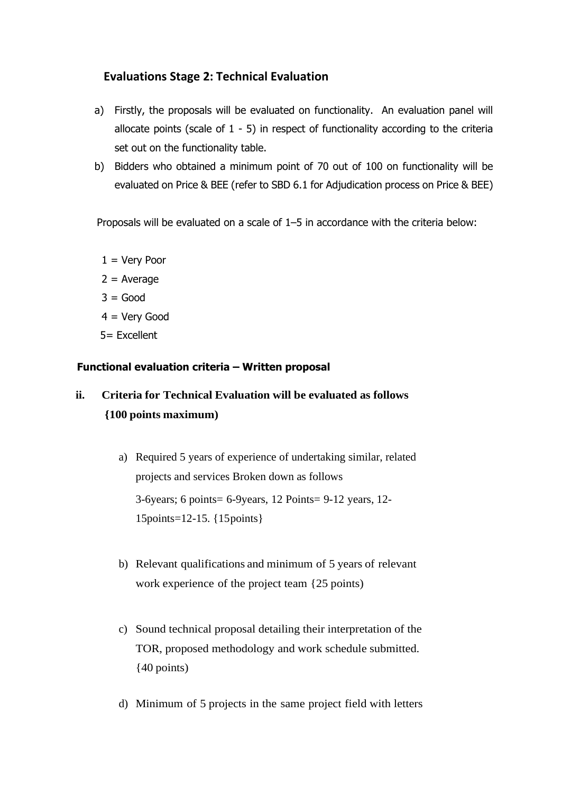# **Evaluations Stage 2: Technical Evaluation**

- a) Firstly, the proposals will be evaluated on functionality. An evaluation panel will allocate points (scale of  $1 - 5$ ) in respect of functionality according to the criteria set out on the functionality table.
- b) Bidders who obtained a minimum point of 70 out of 100 on functionality will be evaluated on Price & BEE (refer to SBD 6.1 for Adjudication process on Price & BEE)

Proposals will be evaluated on a scale of 1–5 in accordance with the criteria below:

- $1 =$  Very Poor
- $2 = Average$
- $3 = Good$
- 4 = Very Good
- 5= Excellent

# **Functional evaluation criteria – Written proposal**

# **ii. Criteria for Technical Evaluation will be evaluated as follows {100 points maximum)**

- a) Required 5 years of experience of undertaking similar, related projects and services Broken down as follows 3-6years; 6 points= 6-9years, 12 Points= 9-12 years, 12- 15points=12-15. {15points}
- b) Relevant qualifications and minimum of 5 years of relevant work experience of the project team {25 points)
- c) Sound technical proposal detailing their interpretation of the TOR, proposed methodology and work schedule submitted.  ${40 \text{ points}}$
- d) Minimum of 5 projects in the same project field with letters